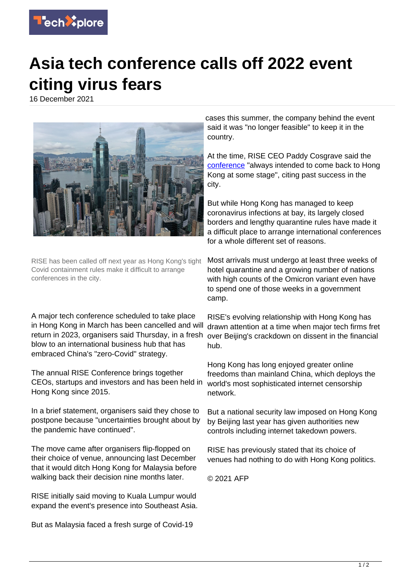

## **Asia tech conference calls off 2022 event citing virus fears**

16 December 2021



RISE has been called off next year as Hong Kong's tight Covid containment rules make it difficult to arrange conferences in the city.

A major tech conference scheduled to take place in Hong Kong in March has been cancelled and will return in 2023, organisers said Thursday, in a fresh blow to an international business hub that has embraced China's "zero-Covid" strategy.

The annual RISE Conference brings together CEOs, startups and investors and has been held in Hong Kong since 2015.

In a brief statement, organisers said they chose to postpone because "uncertainties brought about by the pandemic have continued".

The move came after organisers flip-flopped on their choice of venue, announcing last December that it would ditch Hong Kong for Malaysia before walking back their decision nine months later.

RISE initially said moving to Kuala Lumpur would expand the event's presence into Southeast Asia.

But as Malaysia faced a fresh surge of Covid-19

cases this summer, the company behind the event said it was "no longer feasible" to keep it in the country.

At the time, RISE CEO Paddy Cosgrave said the [conference](https://techxplore.com/tags/conference/) "always intended to come back to Hong Kong at some stage", citing past success in the city.

But while Hong Kong has managed to keep coronavirus infections at bay, its largely closed borders and lengthy quarantine rules have made it a difficult place to arrange international conferences for a whole different set of reasons.

Most arrivals must undergo at least three weeks of hotel quarantine and a growing number of nations with high counts of the Omicron variant even have to spend one of those weeks in a government camp.

RISE's evolving relationship with Hong Kong has drawn attention at a time when major tech firms fret over Beijing's crackdown on dissent in the financial hub.

Hong Kong has long enjoyed greater online freedoms than mainland China, which deploys the world's most sophisticated internet censorship network.

But a national security law imposed on Hong Kong by Beijing last year has given authorities new controls including internet takedown powers.

RISE has previously stated that its choice of venues had nothing to do with Hong Kong politics.

© 2021 AFP